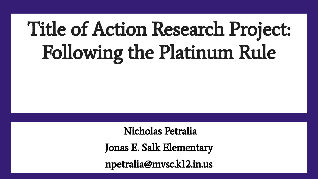# Title of Action Research Project: Following the Platinum Rule

Nicholas Petralia

Jonas E. Salk Elementary

npetralia@mvsc.k12.in.us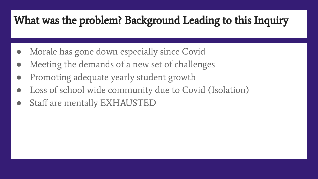### What was the problem? Background Leading to this Inquiry

- Morale has gone down especially since Covid
- Meeting the demands of a new set of challenges
- Promoting adequate yearly student growth
- Loss of school wide community due to Covid (Isolation)
- Staff are mentally EXHAUSTED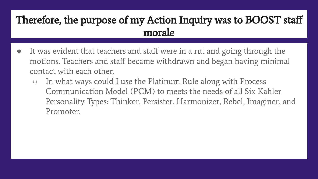#### Therefore, the purpose of my Action Inquiry was to BOOST staff morale

- It was evident that teachers and staff were in a rut and going through the motions. Teachers and staff became withdrawn and began having minimal contact with each other.
	- In what ways could I use the Platinum Rule along with Process Communication Model (PCM) to meets the needs of all Six Kahler Personality Types: Thinker, Persister, Harmonizer, Rebel, Imaginer, and Promoter.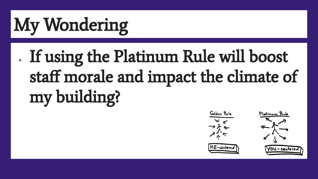# My Wondering

# . If using the Platinum Rule will boost staff morale and impact the climate of my building?

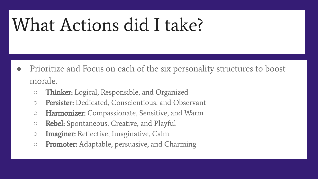## What Actions did I take?

- Prioritize and Focus on each of the six personality structures to boost morale.
	- o Thinker: Logical, Responsible, and Organized
	- **Persister:** Dedicated, Conscientious, and Observant
	- **Harmonizer:** Compassionate, Sensitive, and Warm
	- **Rebel:** Spontaneous, Creative, and Playful
	- **Imaginer:** Reflective, Imaginative, Calm
	- **Promoter:** Adaptable, persuasive, and Charming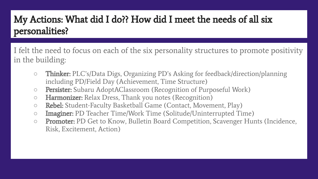#### My Actions: What did I do?? How did I meet the needs of all six personalities?

I felt the need to focus on each of the six personality structures to promote positivity in the building:

- **○** Thinker: PLC's/Data Digs, Organizing PD's Asking for feedback/direction/planning including PD/Field Day (Achievement, Time Structure)
- **Persister:** Subaru AdoptAClassroom (Recognition of Purposeful Work)
- **Harmonizer:** Relax Dress, Thank you notes (Recognition)
- Rebel: Student-Faculty Basketball Game (Contact, Movement, Play)
- Imaginer: PD Teacher Time/Work Time (Solitude/Uninterrupted Time)
- **Promoter:** PD Get to Know, Bulletin Board Competition, Scavenger Hunts (Incidence, Risk, Excitement, Action)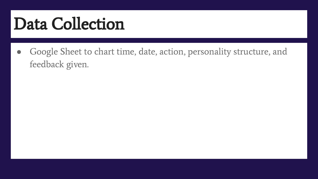## Data Collection

Google Sheet to chart time, date, action, personality structure, and feedback given.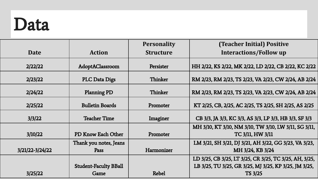## Data

|                 |                              | <b>Personality</b> | <b>(Teacher Initial) Positive</b>                      |
|-----------------|------------------------------|--------------------|--------------------------------------------------------|
| Date            | <b>Action</b>                | <b>Structure</b>   | <b>Interactions/Follow up</b>                          |
| 2/22/22         | AdoptAClassroom              | Persister          | HH 2/22, KS 2/22, MK 2/22, LD 2/22, CB 2/22, KC 2/22   |
| 2/23/22         | <b>PLC Data Digs</b>         | Thinker            | RM 2/23, RM 2/23, TS 2/23, VA 2/23, CW 2/24, AB 2/24   |
| 2/24/22         | <b>Planning PD</b>           | Thinker            | RM 2/23, RM 2/23, TS 2/23, VA 2/23, CW 2/24, AB 2/24   |
| 2/25/22         | <b>Bulletin Boards</b>       | Promoter           | KT 2/25, CB, 2/25, AC 2/25, TS 2/25, SH 2/25, AS 2/25  |
| 3/3/22          | <b>Teacher Time</b>          | Imaginer           | CB 3/3, JA 3/3, KC 3/3, AS 3/3, LP 3/3, HB 3/3, SF 3/3 |
|                 |                              |                    | MH 3/10, KT 3/10, NM 3/10, TW 3/10, LW 3/11, SG 3/11,  |
| 3/10/22         | PD Know Each Other           | Promoter           | TC 3/11, HW 3/11                                       |
|                 | Thank you notes, Jeans       |                    | LM 3/21, SH 3/21, DJ 3/21, AH 3/22, GG 3/23, VA 3/23,  |
| 3/21/22-3/24/22 | Pass                         | Harmonizer         | MH 3/24, KB 3/24                                       |
|                 |                              |                    | LD 3/25, CB 3/25, LT 3/25, CR 3/25, TC 3/25, AH, 3/25, |
|                 | <b>Student-Faculty BBall</b> |                    | LB 3/25, TU 3/25, GR 3/25, MJ 3/25, KP 3/25, JM 3/25,  |
| 3/25/22         | Game                         | <b>Rebel</b>       | <b>TS 3/25</b>                                         |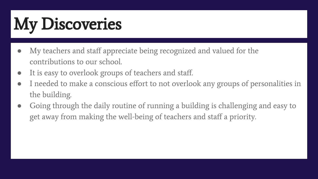# My Discoveries

- My teachers and staff appreciate being recognized and valued for the contributions to our school.
- It is easy to overlook groups of teachers and staff.
- I needed to make a conscious effort to not overlook any groups of personalities in the building.
- Going through the daily routine of running a building is challenging and easy to get away from making the well-being of teachers and staff a priority.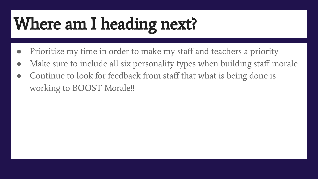# Where am I heading next?

- Prioritize my time in order to make my staff and teachers a priority
- Make sure to include all six personality types when building staff morale
- Continue to look for feedback from staff that what is being done is working to BOOST Morale!!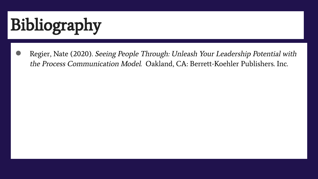# Bibliography

Regier, Nate (2020). Seeing People Through: Unleash Your Leadership Potential with the Process Communication Model. Oakland, CA: Berrett-Koehler Publishers. Inc.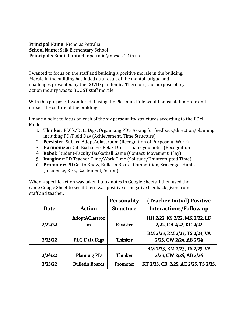**Principal Name**: Nicholas Petralia **School Name**: Salk Elementary School **Principal's Email Contact**: npetralia@mvsc.k12.in.us

I wanted to focus on the staff and building a positive morale in the building. Morale in the building has faded as a result of the mental fatigue and challenges presented by the COVID pandemic. Therefore, the purpose of my action inquiry was to BOOST staff morale.

With this purpose, I wondered if using the Platinum Rule would boost staff morale and impact the culture of the building.

I made a point to focus on each of the six personality structures according to the PCM Model.

- 1. **Thinker:** PLC's/Data Digs, Organizing PD's Asking for feedback/direction/planning including PD/Field Day (Achievement, Time Structure)
- 2. **Persister:** Subaru AdoptAClassroom (Recognition of Purposeful Work)
- 3. **Harmonizer:** Gift Exchange, Relax Dress, Thank you notes (Recognition)
- 4. **Rebel:** Student-Faculty Basketball Game (Contact, Movement, Play)
- 5. **Imaginer:** PD Teacher Time/Work Time (Solitude/Uninterrupted Time)
- 6. **Promoter:** PD Get to Know, Bulletin Board Competition, Scavenger Hunts (Incidence, Risk, Excitement, Action)

When a specific action was taken I took notes in Google Sheets. I then used the same Google Sheet to see if there was positive or negative feedback given from staff and teacher.

|         |                        | <b>Personality</b> | <b>(Teacher Initial) Positive</b>    |
|---------|------------------------|--------------------|--------------------------------------|
| Date    | <b>Action</b>          | <b>Structure</b>   | <b>Interactions/Follow up</b>        |
|         | AdoptAClassroo         |                    | HH 2/22, KS 2/22, MK 2/22, LD        |
| 2/22/22 | m                      | Persister          | 2/22, CB 2/22, KC 2/22               |
|         |                        |                    | RM 2/23, RM 2/23, TS 2/23, VA        |
| 2/23/22 | <b>PLC Data Digs</b>   | Thinker            | 2/23, CW 2/24, AB 2/24               |
|         |                        |                    | RM 2/23, RM 2/23, TS 2/23, VA        |
| 2/24/22 | <b>Planning PD</b>     | Thinker            | 2/23, CW 2/24, AB 2/24               |
| 2/25/22 | <b>Bulletin Boards</b> | Promoter           | KT 2/25, CB, 2/25, AC 2/25, TS 2/25, |